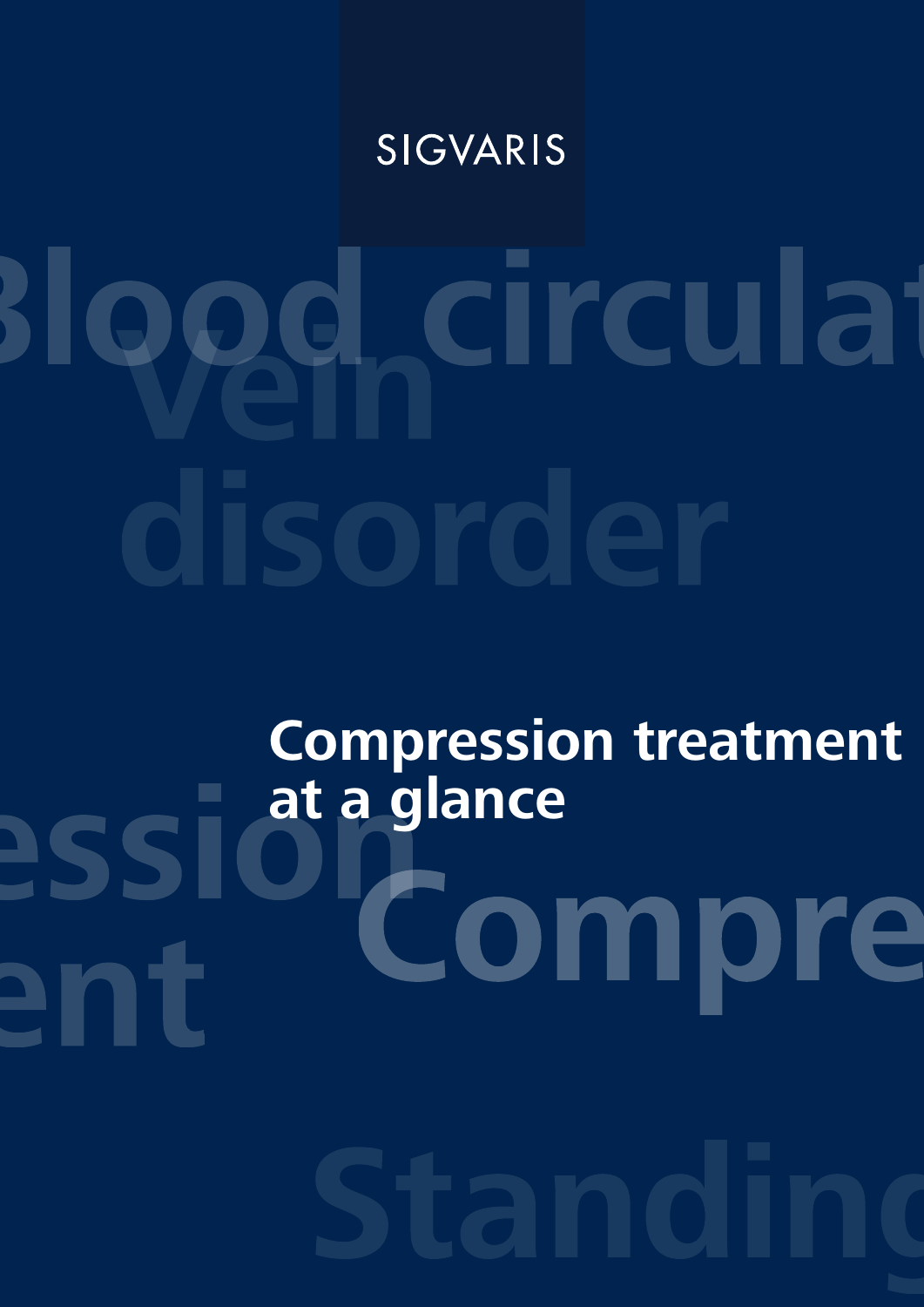# SIGVARIS

# Blood circulat disorde

# **Compression treatment**

**at a glance**<br> **and a compression of the compression of the set of the set of the set of the set of the set of the set of the set of the set of the set of the set of the set of the set of the set of the set of the set of t** ent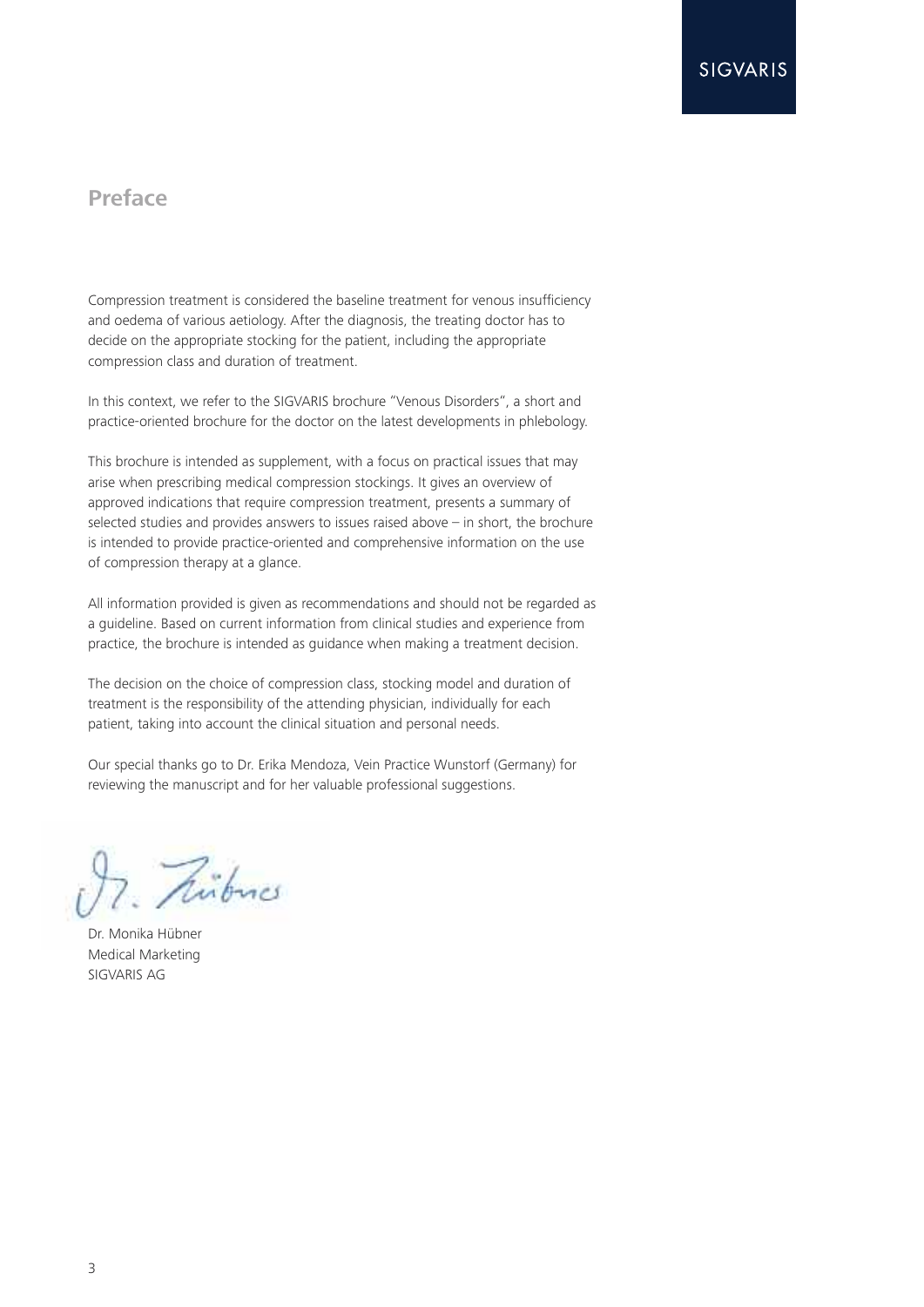# **Preface**

Compression treatment is considered the baseline treatment for venous insufficiency and oedema of various aetiology. After the diagnosis, the treating doctor has to decide on the appropriate stocking for the patient, including the appropriate compression class and duration of treatment.

In this context, we refer to the SIGVARIS brochure "Venous Disorders", a short and practice-oriented brochure for the doctor on the latest developments in phlebology.

This brochure is intended as supplement, with a focus on practical issues that may arise when prescribing medical compression stockings. It gives an overview of approved indications that require compression treatment, presents a summary of selected studies and provides answers to issues raised above – in short, the brochure is intended to provide practice-oriented and comprehensive information on the use of compression therapy at a glance.

All information provided is given as recommendations and should not be regarded as a guideline. Based on current information from clinical studies and experience from practice, the brochure is intended as guidance when making a treatment decision.

The decision on the choice of compression class, stocking model and duration of treatment is the responsibility of the attending physician, individually for each patient, taking into account the clinical situation and personal needs.

Our special thanks go to Dr. Erika Mendoza, Vein Practice Wunstorf (Germany) for reviewing the manuscript and for her valuable professional suggestions.

Pribucs

Dr. Monika Hübner Medical Marketing SIGVARIS AG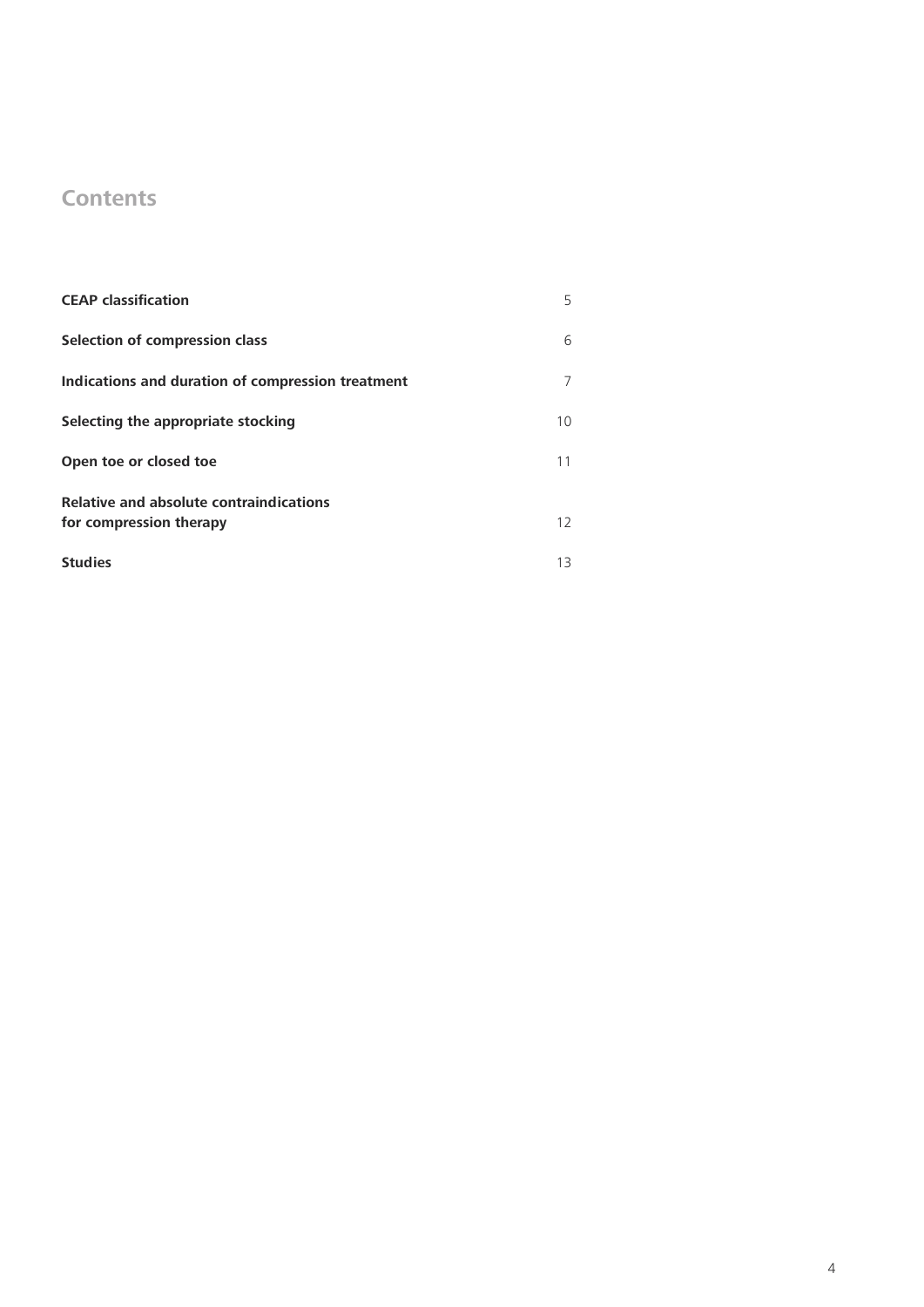# **Contents**

| <b>CEAP classification</b>                                         | 5  |
|--------------------------------------------------------------------|----|
| Selection of compression class                                     | 6  |
| Indications and duration of compression treatment                  |    |
| Selecting the appropriate stocking                                 | 10 |
| Open toe or closed toe                                             | 11 |
| Relative and absolute contraindications<br>for compression therapy | 12 |
| <b>Studies</b>                                                     | 13 |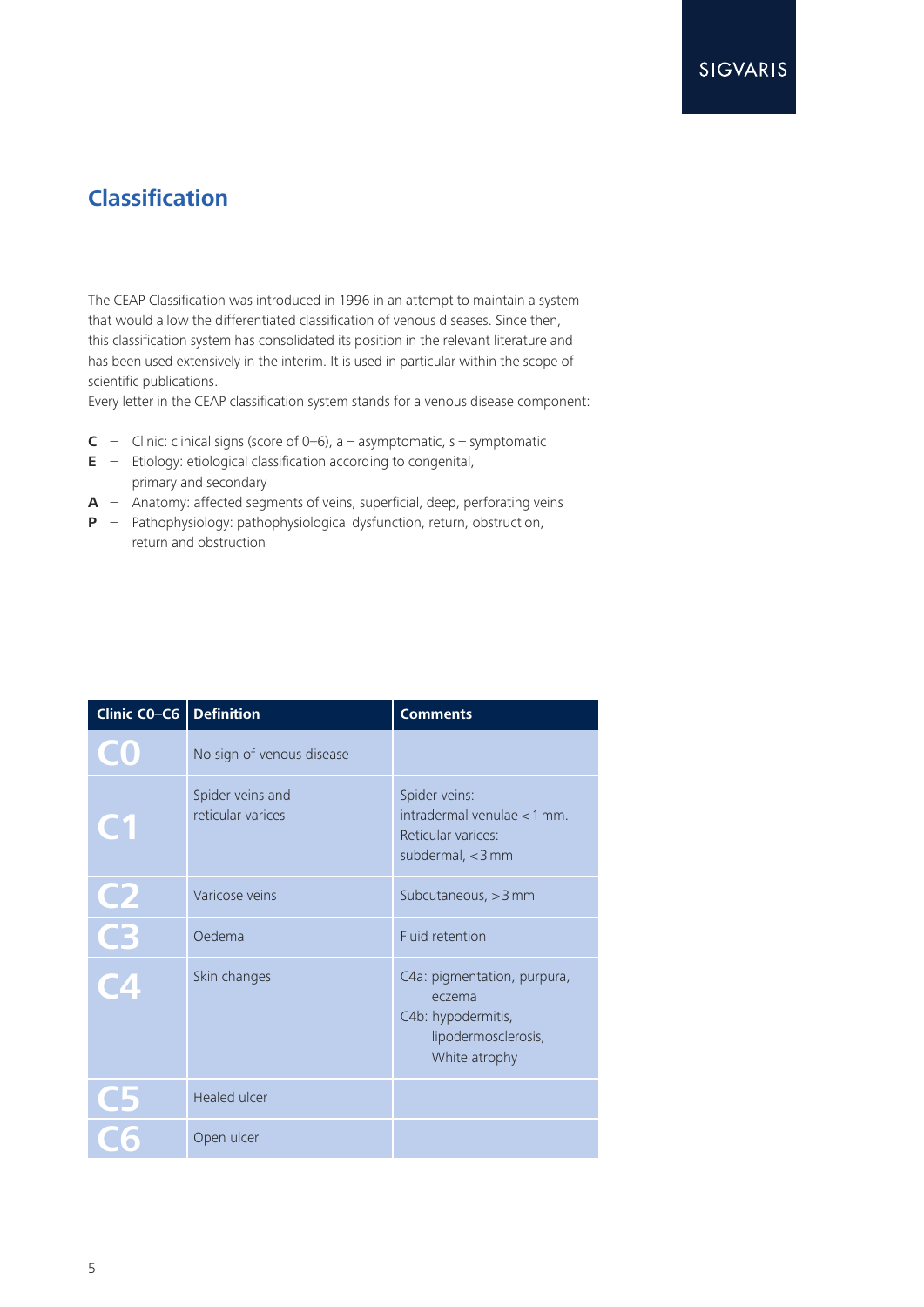# **Classification**

The CEAP Classification was introduced in 1996 in an attempt to maintain a system that would allow the differentiated classification of venous diseases. Since then, this classification system has consolidated its position in the relevant literature and has been used extensively in the interim. It is used in particular within the scope of scientific publications.

Every letter in the CEAP classification system stands for a venous disease component:

- **C** = Clinic: clinical signs (score of  $0-6$ ), a = asymptomatic, s = symptomatic
- **E** = Etiology: etiological classification according to congenital, primary and secondary
- **A** = Anatomy: affected segments of veins, superficial, deep, perforating veins
- **P** = Pathophysiology: pathophysiological dysfunction, return, obstruction, return and obstruction

| Clinic CO-C6    | <b>Definition</b>                     | <b>Comments</b>                                                                                     |
|-----------------|---------------------------------------|-----------------------------------------------------------------------------------------------------|
|                 | No sign of venous disease             |                                                                                                     |
| <b>CH</b>       | Spider veins and<br>reticular varices | Spider veins:<br>$interval$ venulae < 1 mm.<br>Reticular varices:<br>subdermal, <3 mm               |
|                 | Varicose veins                        | Subcutaneous, $>$ 3 mm                                                                              |
| $\frac{C2}{C3}$ | Oedema                                | Fluid retention                                                                                     |
|                 | Skin changes                          | C4a: pigmentation, purpura,<br>eczema<br>C4b: hypodermitis,<br>lipodermosclerosis,<br>White atrophy |
|                 | <b>Healed ulcer</b>                   |                                                                                                     |
|                 | Open ulcer                            |                                                                                                     |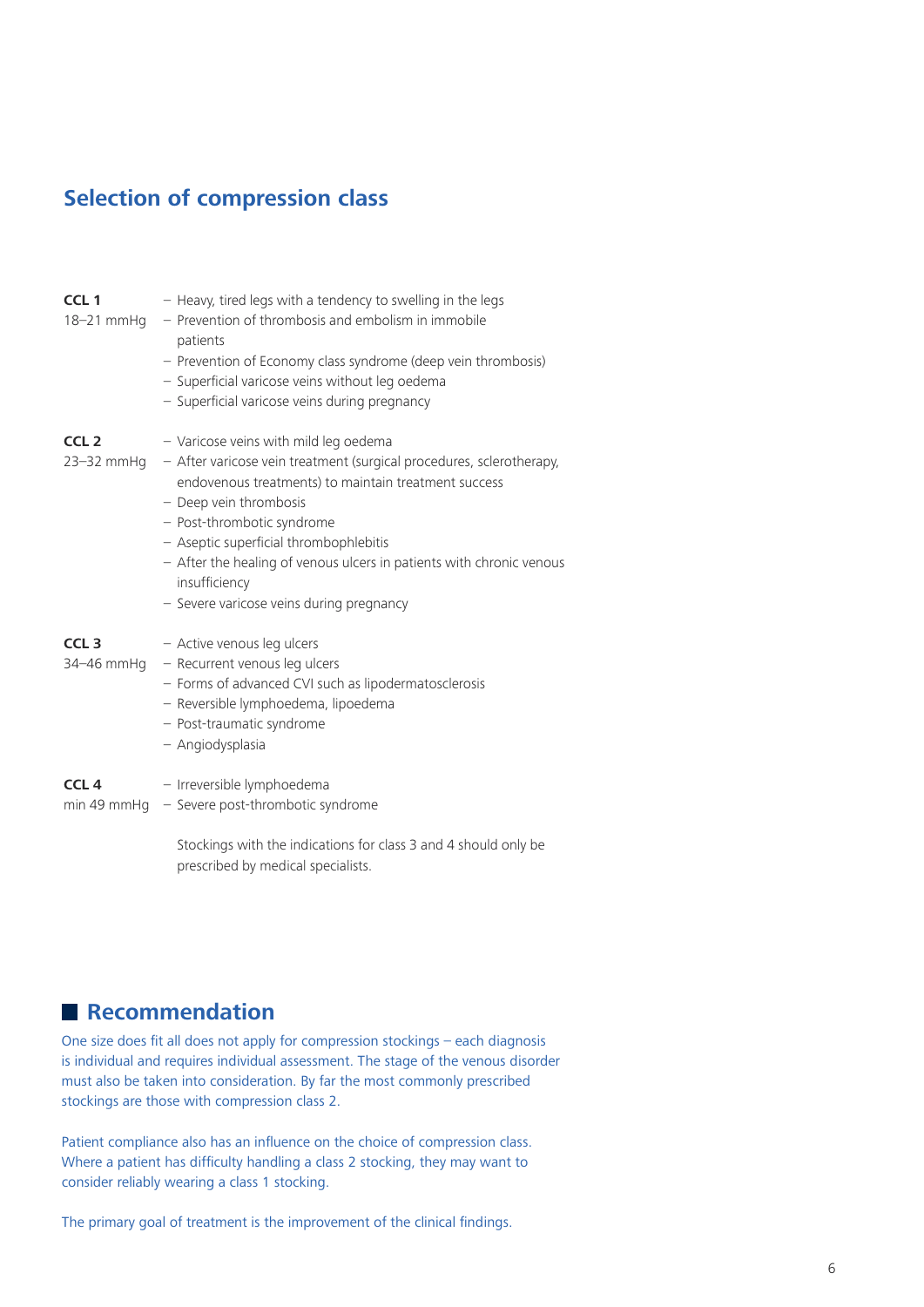# **Selection of compression class**

| CCL <sub>1</sub><br>$18 - 21$ mmHq | - Heavy, tired legs with a tendency to swelling in the legs<br>- Prevention of thrombosis and embolism in immobile<br>patients<br>- Prevention of Economy class syndrome (deep vein thrombosis)<br>- Superficial varicose veins without leg oedema<br>- Superficial varicose veins during pregnancy                                                                                                          |
|------------------------------------|--------------------------------------------------------------------------------------------------------------------------------------------------------------------------------------------------------------------------------------------------------------------------------------------------------------------------------------------------------------------------------------------------------------|
| CCL <sub>2</sub><br>23-32 mmHg     | - Varicose veins with mild leg oedema<br>- After varicose vein treatment (surgical procedures, sclerotherapy,<br>endovenous treatments) to maintain treatment success<br>- Deep vein thrombosis<br>- Post-thrombotic syndrome<br>- Aseptic superficial thrombophlebitis<br>- After the healing of venous ulcers in patients with chronic venous<br>insufficiency<br>- Severe varicose veins during pregnancy |
| CCL <sub>3</sub><br>34-46 mmHq     | - Active venous leg ulcers<br>- Recurrent venous leg ulcers<br>- Forms of advanced CVI such as lipodermatosclerosis<br>- Reversible lymphoedema, lipoedema<br>- Post-traumatic syndrome<br>- Angiodysplasia                                                                                                                                                                                                  |
| CCL <sub>4</sub>                   | - Irreversible lymphoedema<br>min 49 mmHg - Severe post-thrombotic syndrome<br>Stockings with the indications for class 3 and 4 should only be<br>prescribed by medical specialists.                                                                                                                                                                                                                         |

# **Recommendation**

One size does fit all does not apply for compression stockings – each diagnosis is individual and requires individual assessment. The stage of the venous disorder must also be taken into consideration. By far the most commonly prescribed stockings are those with compression class 2.

Patient compliance also has an influence on the choice of compression class. Where a patient has difficulty handling a class 2 stocking, they may want to consider reliably wearing a class 1 stocking.

The primary goal of treatment is the improvement of the clinical findings.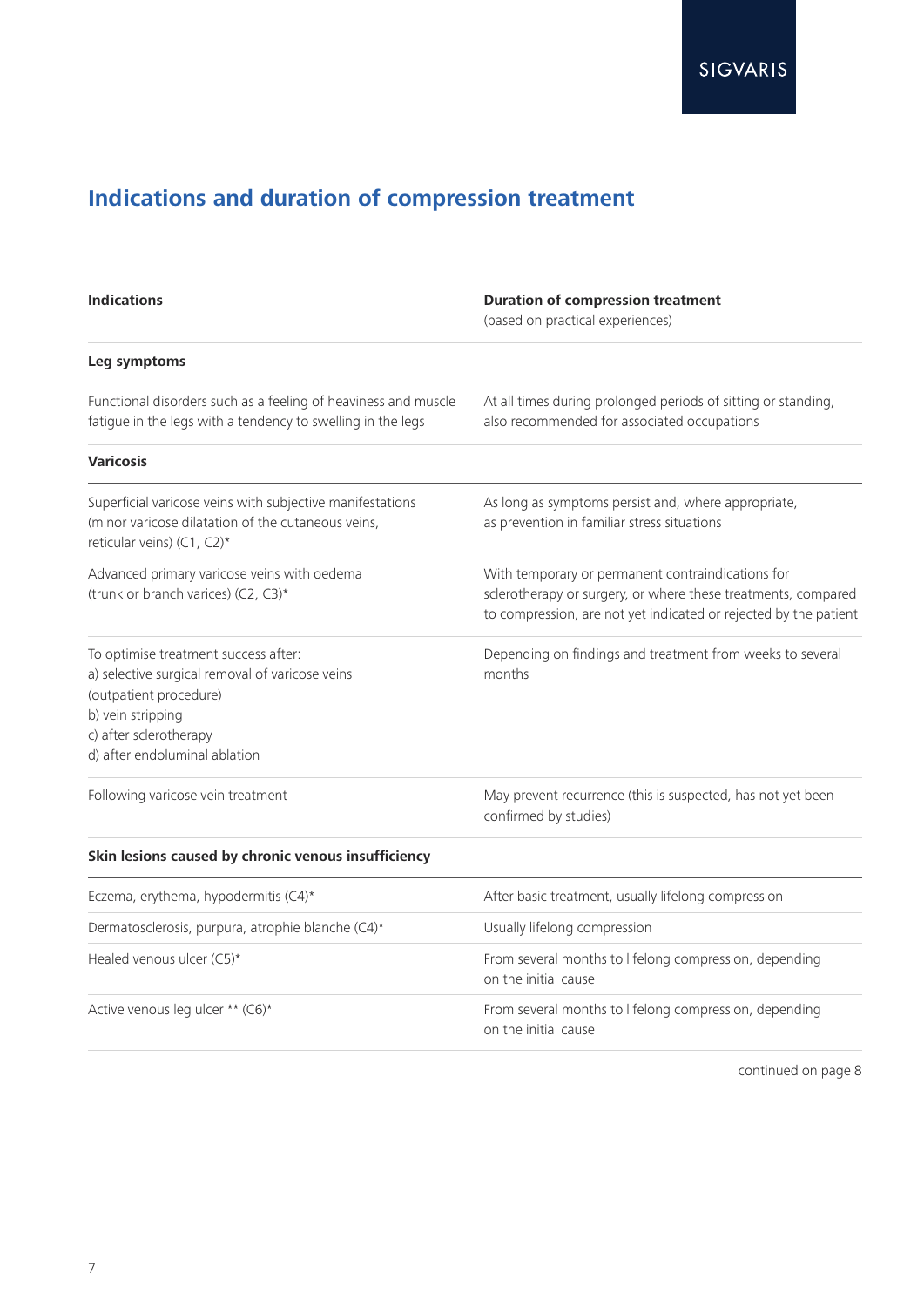# **Indications and duration of compression treatment**

| <b>Indications</b>                                                                                                                                                                                | <b>Duration of compression treatment</b><br>(based on practical experiences)                                                                                                           |
|---------------------------------------------------------------------------------------------------------------------------------------------------------------------------------------------------|----------------------------------------------------------------------------------------------------------------------------------------------------------------------------------------|
| Leg symptoms                                                                                                                                                                                      |                                                                                                                                                                                        |
| Functional disorders such as a feeling of heaviness and muscle<br>fatigue in the legs with a tendency to swelling in the legs                                                                     | At all times during prolonged periods of sitting or standing,<br>also recommended for associated occupations                                                                           |
| <b>Varicosis</b>                                                                                                                                                                                  |                                                                                                                                                                                        |
| Superficial varicose veins with subjective manifestations<br>(minor varicose dilatation of the cutaneous veins,<br>reticular veins) (C1, C2)*                                                     | As long as symptoms persist and, where appropriate,<br>as prevention in familiar stress situations                                                                                     |
| Advanced primary varicose veins with oedema<br>(trunk or branch varices) (C2, C3)*                                                                                                                | With temporary or permanent contraindications for<br>sclerotherapy or surgery, or where these treatments, compared<br>to compression, are not yet indicated or rejected by the patient |
| To optimise treatment success after:<br>a) selective surgical removal of varicose veins<br>(outpatient procedure)<br>b) vein stripping<br>c) after sclerotherapy<br>d) after endoluminal ablation | Depending on findings and treatment from weeks to several<br>months                                                                                                                    |
| Following varicose vein treatment                                                                                                                                                                 | May prevent recurrence (this is suspected, has not yet been<br>confirmed by studies)                                                                                                   |
| Skin lesions caused by chronic venous insufficiency                                                                                                                                               |                                                                                                                                                                                        |
| Eczema, erythema, hypodermitis (C4)*                                                                                                                                                              | After basic treatment, usually lifelong compression                                                                                                                                    |
| Dermatosclerosis, purpura, atrophie blanche (C4)*                                                                                                                                                 | Usually lifelong compression                                                                                                                                                           |
| Healed venous ulcer (C5)*                                                                                                                                                                         | From several months to lifelong compression, depending<br>on the initial cause                                                                                                         |
| Active venous leg ulcer ** (C6)*                                                                                                                                                                  | From several months to lifelong compression, depending<br>on the initial cause                                                                                                         |

continued on page 8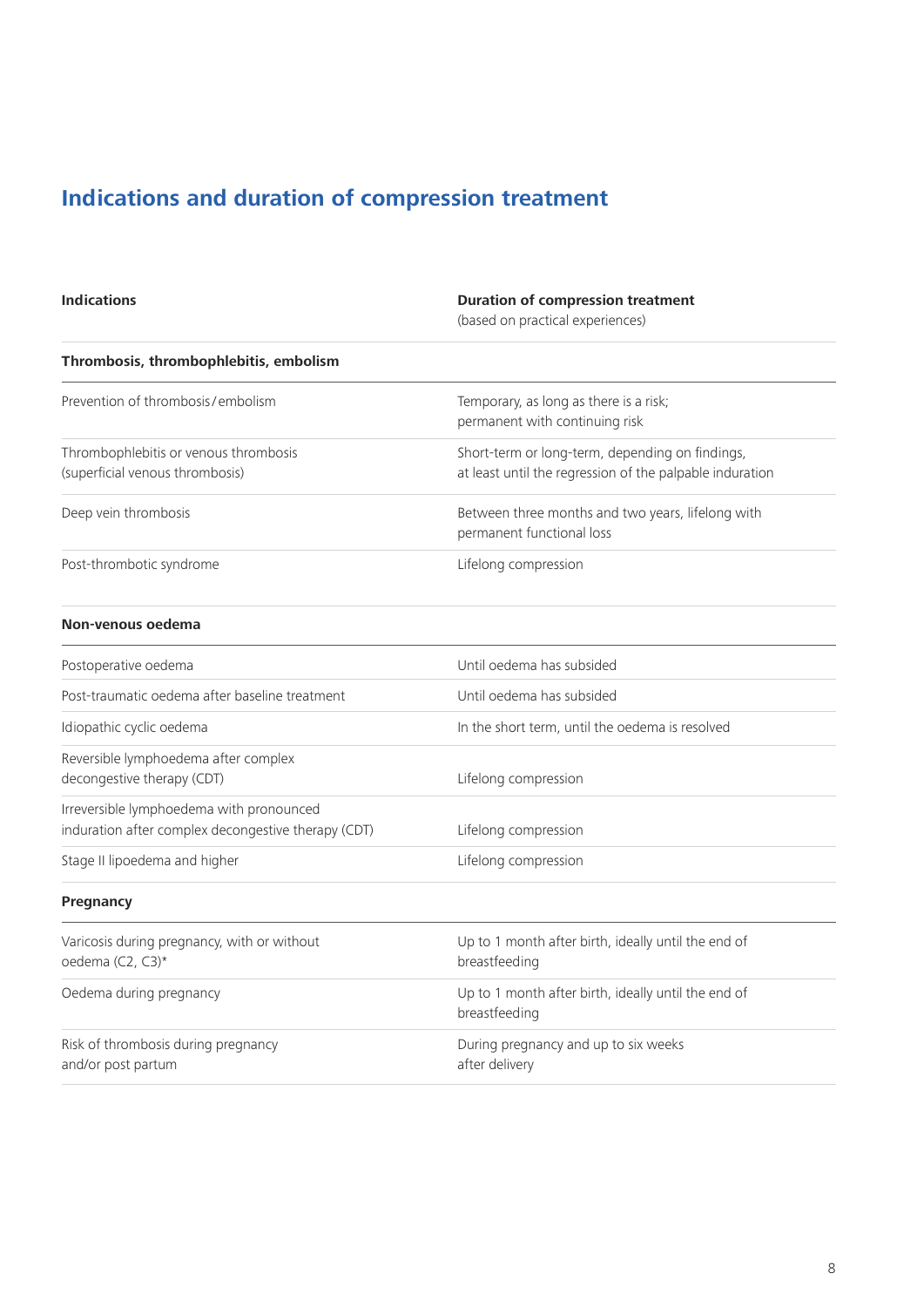# **Indications and duration of compression treatment**

| <b>Indications</b>                                                                              | <b>Duration of compression treatment</b><br>(based on practical experiences)                                |
|-------------------------------------------------------------------------------------------------|-------------------------------------------------------------------------------------------------------------|
| Thrombosis, thrombophlebitis, embolism                                                          |                                                                                                             |
| Prevention of thrombosis/embolism                                                               | Temporary, as long as there is a risk;<br>permanent with continuing risk                                    |
| Thrombophlebitis or venous thrombosis<br>(superficial venous thrombosis)                        | Short-term or long-term, depending on findings,<br>at least until the regression of the palpable induration |
| Deep vein thrombosis                                                                            | Between three months and two years, lifelong with<br>permanent functional loss                              |
| Post-thrombotic syndrome                                                                        | Lifelong compression                                                                                        |
| Non-venous oedema                                                                               |                                                                                                             |
| Postoperative oedema                                                                            | Until oedema has subsided                                                                                   |
| Post-traumatic oedema after baseline treatment                                                  | Until oedema has subsided                                                                                   |
| Idiopathic cyclic oedema                                                                        | In the short term, until the oedema is resolved                                                             |
| Reversible lymphoedema after complex<br>decongestive therapy (CDT)                              | Lifelong compression                                                                                        |
| Irreversible lymphoedema with pronounced<br>induration after complex decongestive therapy (CDT) | Lifelong compression                                                                                        |
| Stage II lipoedema and higher                                                                   | Lifelong compression                                                                                        |
| Pregnancy                                                                                       |                                                                                                             |
| Varicosis during pregnancy, with or without<br>oedema (C2, C3)*                                 | Up to 1 month after birth, ideally until the end of<br>breastfeeding                                        |
| Oedema during pregnancy                                                                         | Up to 1 month after birth, ideally until the end of<br>breastfeeding                                        |
| Risk of thrombosis during pregnancy<br>and/or post partum                                       | During pregnancy and up to six weeks<br>after delivery                                                      |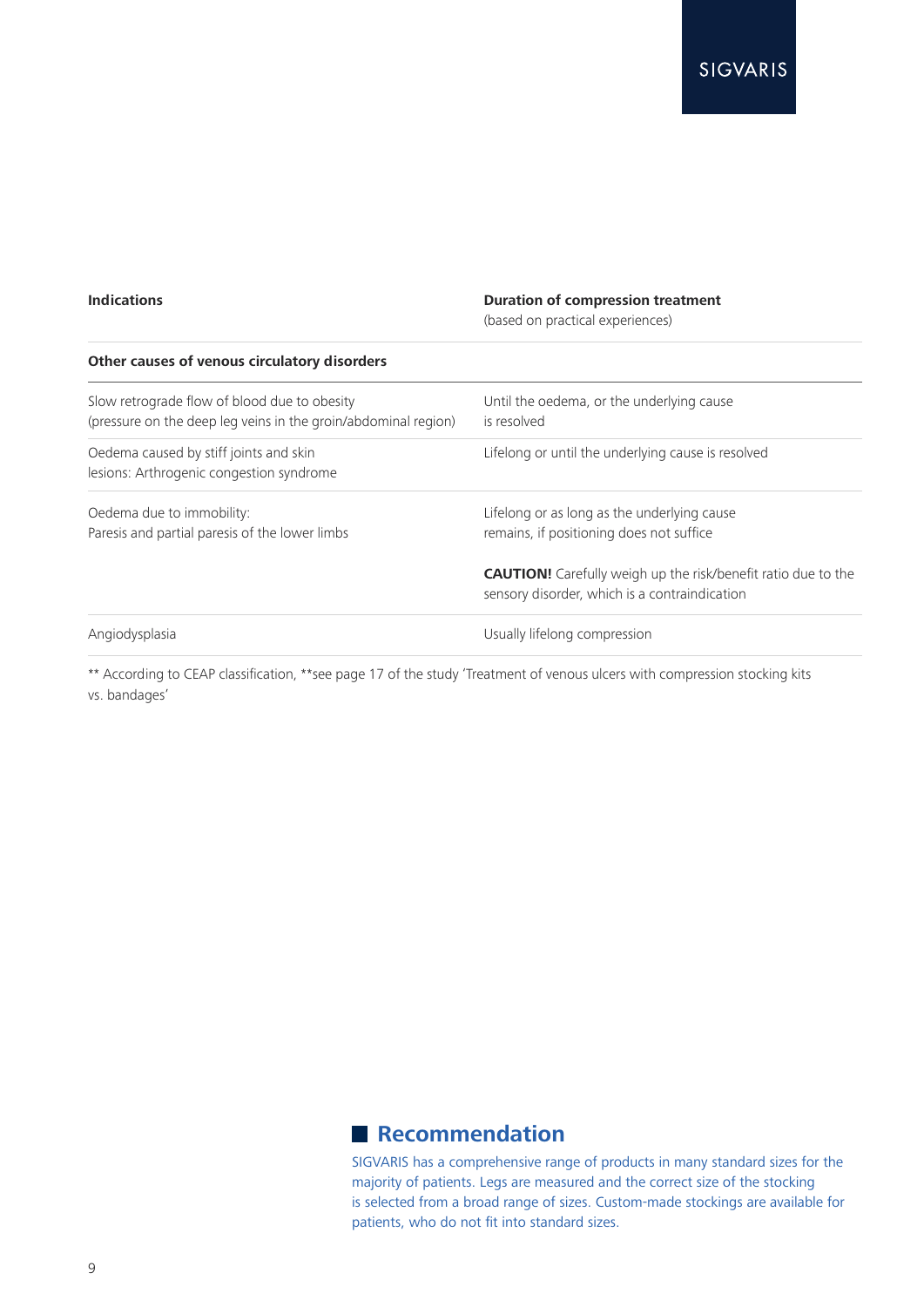### **Indications Duration of compression treatment**

(based on practical experiences)

| Other causes of venous circulatory disorders                                                                   |                                                                                                                       |
|----------------------------------------------------------------------------------------------------------------|-----------------------------------------------------------------------------------------------------------------------|
| Slow retrograde flow of blood due to obesity<br>(pressure on the deep leg veins in the groin/abdominal region) | Until the oedema, or the underlying cause<br>is resolved                                                              |
| Oedema caused by stiff joints and skin<br>lesions: Arthrogenic congestion syndrome                             | Lifelong or until the underlying cause is resolved                                                                    |
| Oedema due to immobility:<br>Paresis and partial paresis of the lower limbs                                    | Lifelong or as long as the underlying cause<br>remains, if positioning does not suffice                               |
|                                                                                                                | <b>CAUTION!</b> Carefully weigh up the risk/benefit ratio due to the<br>sensory disorder, which is a contraindication |
| Angiodysplasia                                                                                                 | Usually lifelong compression                                                                                          |

\*\* According to CEAP classification, \*\*see page 17 of the study 'Treatment of venous ulcers with compression stocking kits vs. bandages'

# **Recommendation**

SIGVARIS has a comprehensive range of products in many standard sizes for the majority of patients. Legs are measured and the correct size of the stocking is selected from a broad range of sizes. Custom-made stockings are available for patients, who do not fit into standard sizes.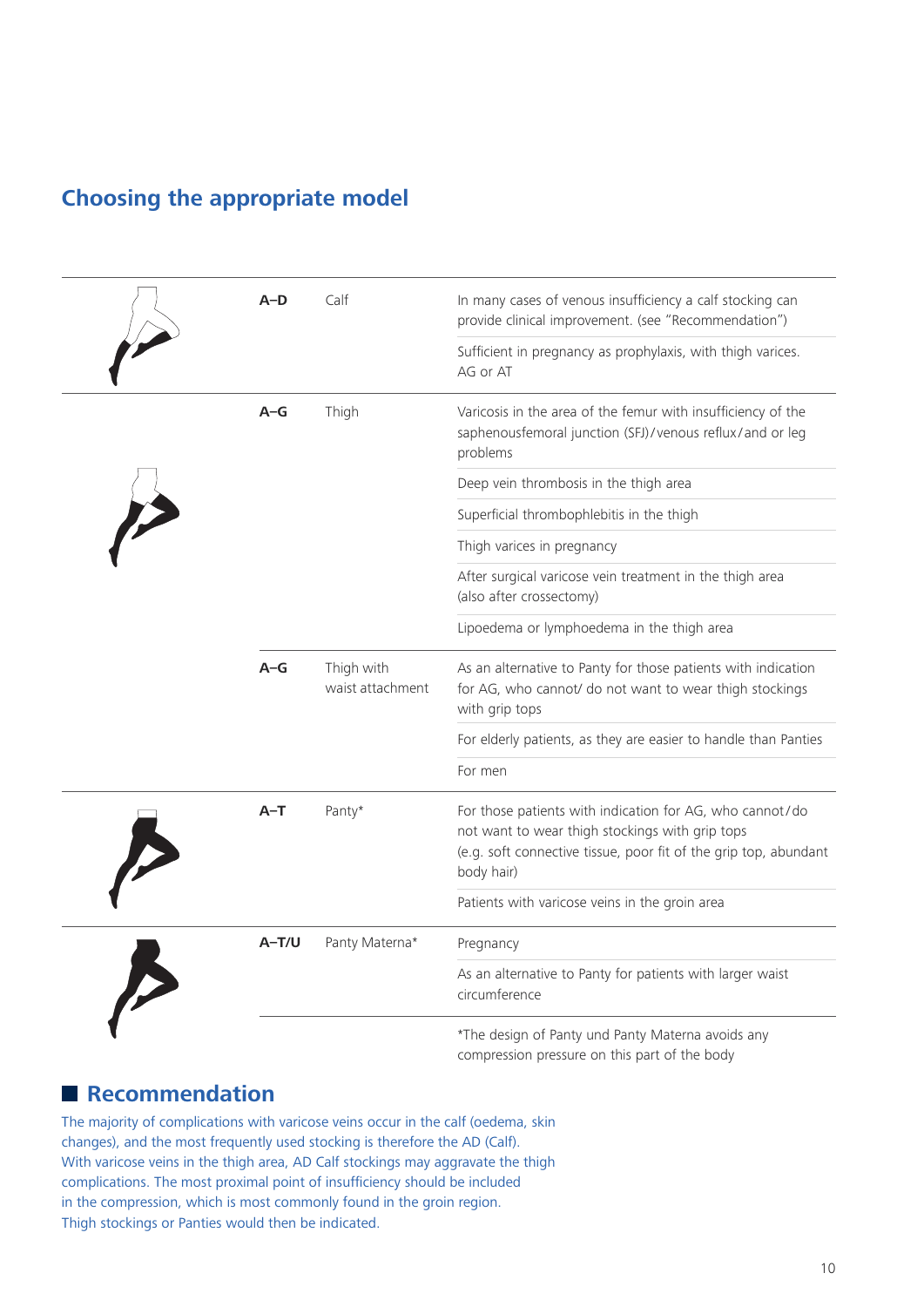# **Choosing the appropriate model**

| $A-D$   | Calf                           | In many cases of venous insufficiency a calf stocking can<br>provide clinical improvement. (see "Recommendation")                                                                             |
|---------|--------------------------------|-----------------------------------------------------------------------------------------------------------------------------------------------------------------------------------------------|
|         |                                | Sufficient in pregnancy as prophylaxis, with thigh varices.<br>AG or AT                                                                                                                       |
| $A-G$   | Thigh                          | Varicosis in the area of the femur with insufficiency of the<br>saphenousfemoral junction (SFJ)/venous reflux/and or leg<br>problems                                                          |
|         |                                | Deep vein thrombosis in the thigh area                                                                                                                                                        |
|         |                                | Superficial thrombophlebitis in the thigh                                                                                                                                                     |
|         |                                | Thigh varices in pregnancy                                                                                                                                                                    |
|         |                                | After surgical varicose vein treatment in the thigh area<br>(also after crossectomy)                                                                                                          |
|         |                                | Lipoedema or lymphoedema in the thigh area                                                                                                                                                    |
| $A-G$   | Thigh with<br>waist attachment | As an alternative to Panty for those patients with indication<br>for AG, who cannot/ do not want to wear thigh stockings<br>with grip tops                                                    |
|         |                                | For elderly patients, as they are easier to handle than Panties                                                                                                                               |
|         |                                | For men                                                                                                                                                                                       |
| $A-T$   | Panty*                         | For those patients with indication for AG, who cannot/do<br>not want to wear thigh stockings with grip tops<br>(e.g. soft connective tissue, poor fit of the grip top, abundant<br>body hair) |
|         |                                | Patients with varicose veins in the groin area                                                                                                                                                |
| $A-T/U$ | Panty Materna*                 | Pregnancy                                                                                                                                                                                     |
|         |                                | As an alternative to Panty for patients with larger waist<br>circumference                                                                                                                    |
|         |                                | *The design of Panty und Panty Materna avoids any                                                                                                                                             |

compression pressure on this part of the body

# **Recommendation**

The majority of complications with varicose veins occur in the calf (oedema, skin changes), and the most frequently used stocking is therefore the AD (Calf). With varicose veins in the thigh area, AD Calf stockings may aggravate the thigh complications. The most proximal point of insufficiency should be included in the compression, which is most commonly found in the groin region. Thigh stockings or Panties would then be indicated.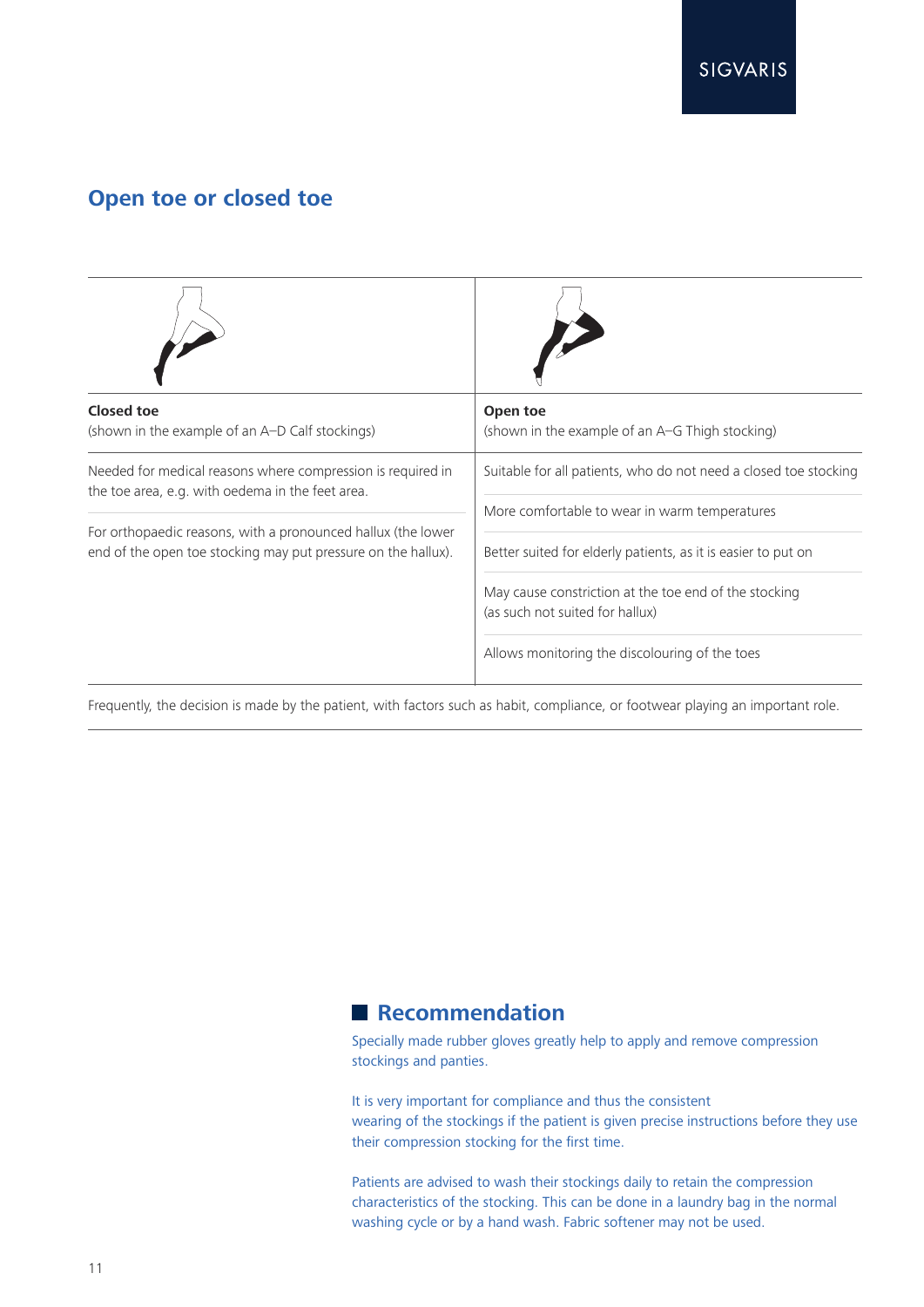# **Open toe or closed toe**

| <b>Closed toe</b><br>(shown in the example of an A-D Calf stockings)                                                          | Open toe<br>(shown in the example of an A-G Thigh stocking)                                                       |
|-------------------------------------------------------------------------------------------------------------------------------|-------------------------------------------------------------------------------------------------------------------|
| Needed for medical reasons where compression is required in<br>the toe area, e.g. with oedema in the feet area.               | Suitable for all patients, who do not need a closed toe stocking<br>More comfortable to wear in warm temperatures |
| For orthopaedic reasons, with a pronounced hallux (the lower<br>end of the open toe stocking may put pressure on the hallux). | Better suited for elderly patients, as it is easier to put on                                                     |
|                                                                                                                               | May cause constriction at the toe end of the stocking<br>(as such not suited for hallux)                          |
|                                                                                                                               | Allows monitoring the discolouring of the toes                                                                    |

Frequently, the decision is made by the patient, with factors such as habit, compliance, or footwear playing an important role.

## **Recommendation**

Specially made rubber gloves greatly help to apply and remove compression stockings and panties.

It is very important for compliance and thus the consistent wearing of the stockings if the patient is given precise instructions before they use their compression stocking for the first time.

Patients are advised to wash their stockings daily to retain the compression characteristics of the stocking. This can be done in a laundry bag in the normal washing cycle or by a hand wash. Fabric softener may not be used.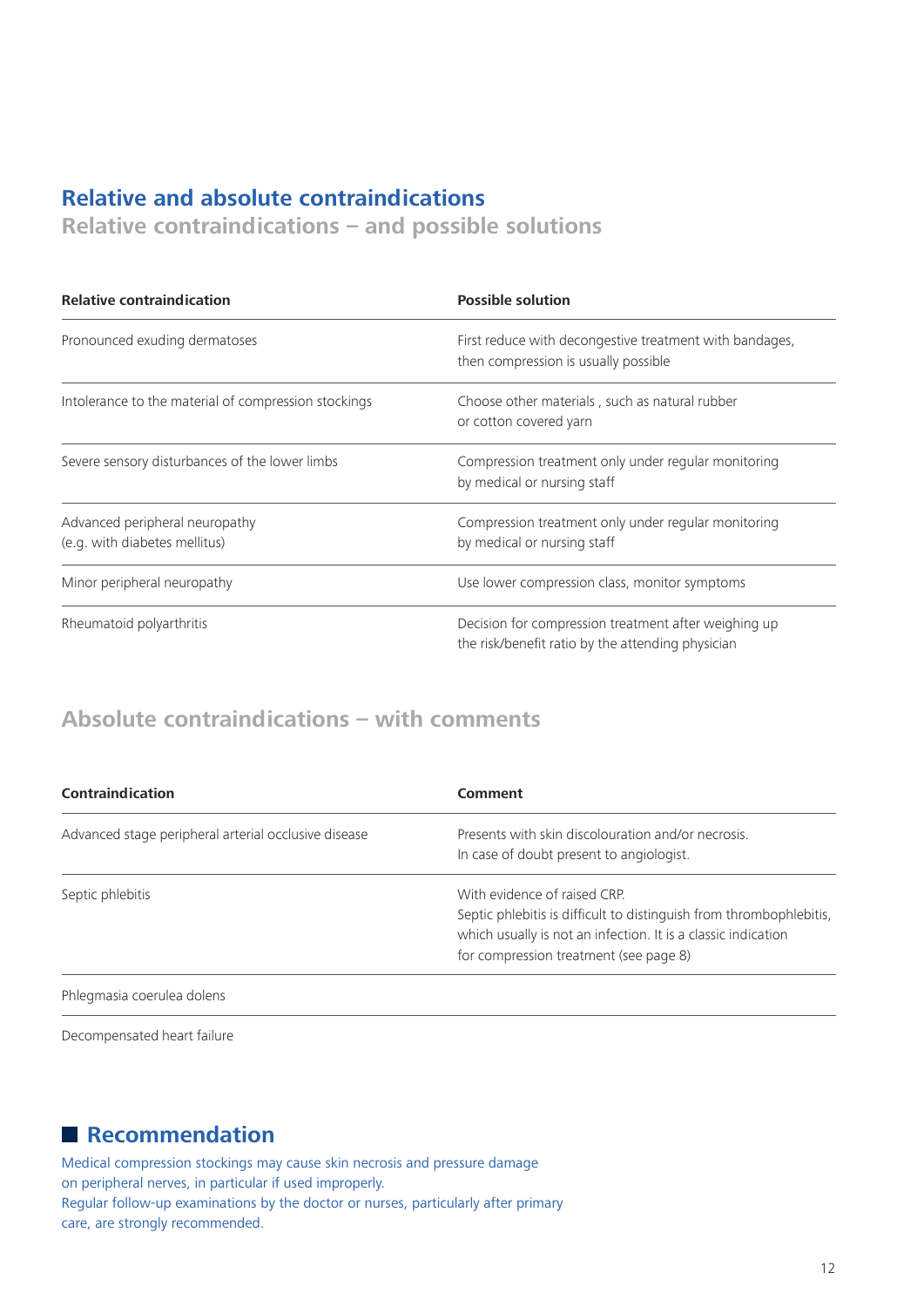# **Relative and absolute contraindications**

**Relative contraindications – and possible solutions**

| <b>Relative contraindication</b>                                | <b>Possible solution</b>                                                                                  |
|-----------------------------------------------------------------|-----------------------------------------------------------------------------------------------------------|
| Pronounced exuding dermatoses                                   | First reduce with decongestive treatment with bandages,<br>then compression is usually possible           |
| Intolerance to the material of compression stockings            | Choose other materials, such as natural rubber<br>or cotton covered yarn                                  |
| Severe sensory disturbances of the lower limbs                  | Compression treatment only under regular monitoring<br>by medical or nursing staff                        |
| Advanced peripheral neuropathy<br>(e.g. with diabetes mellitus) | Compression treatment only under regular monitoring<br>by medical or nursing staff                        |
| Minor peripheral neuropathy                                     | Use lower compression class, monitor symptoms                                                             |
| Rheumatoid polyarthritis                                        | Decision for compression treatment after weighing up<br>the risk/benefit ratio by the attending physician |

# **Absolute contraindications – with comments**

| <b>Contraindication</b>                              | Comment                                                                                                                                                                                                        |
|------------------------------------------------------|----------------------------------------------------------------------------------------------------------------------------------------------------------------------------------------------------------------|
| Advanced stage peripheral arterial occlusive disease | Presents with skin discolouration and/or necrosis.<br>In case of doubt present to angiologist.                                                                                                                 |
| Septic phlebitis                                     | With evidence of raised CRP.<br>Septic phlebitis is difficult to distinguish from thrombophlebitis,<br>which usually is not an infection. It is a classic indication<br>for compression treatment (see page 8) |
| Phlegmasia coerulea dolens                           |                                                                                                                                                                                                                |

Decompensated heart failure

# **Recommendation**

Medical compression stockings may cause skin necrosis and pressure damage on peripheral nerves, in particular if used improperly. Regular follow-up examinations by the doctor or nurses, particularly after primary care, are strongly recommended.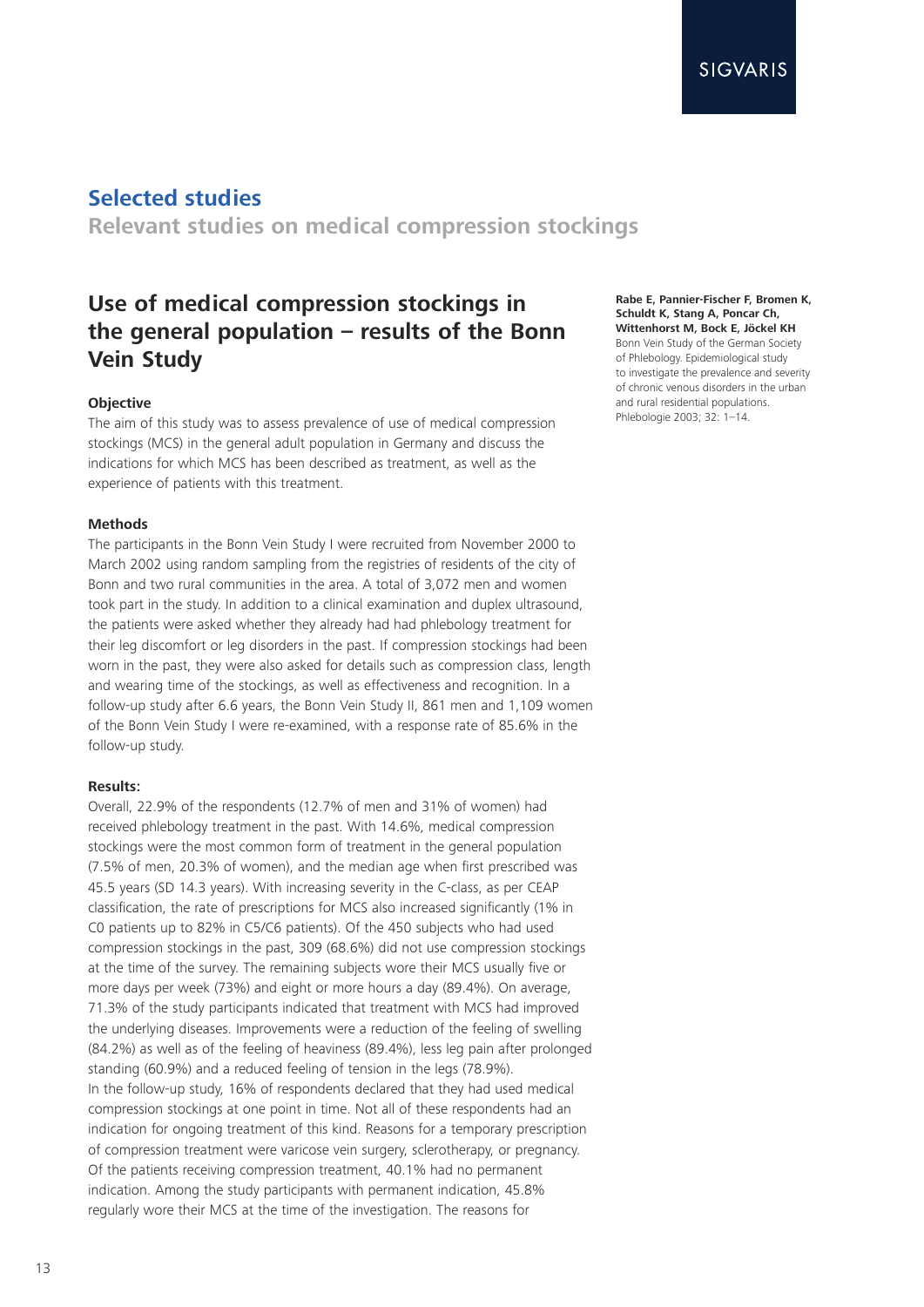**Relevant studies on medical compression stockings**

# **Use of medical compression stockings in the general population – results of the Bonn Vein Study**

### **Objective**

The aim of this study was to assess prevalence of use of medical compression stockings (MCS) in the general adult population in Germany and discuss the indications for which MCS has been described as treatment, as well as the experience of patients with this treatment.

### **Methods**

The participants in the Bonn Vein Study I were recruited from November 2000 to March 2002 using random sampling from the registries of residents of the city of Bonn and two rural communities in the area. A total of 3,072 men and women took part in the study. In addition to a clinical examination and duplex ultrasound, the patients were asked whether they already had had phlebology treatment for their leg discomfort or leg disorders in the past. If compression stockings had been worn in the past, they were also asked for details such as compression class, length and wearing time of the stockings, as well as effectiveness and recognition. In a follow-up study after 6.6 years, the Bonn Vein Study II, 861 men and 1,109 women of the Bonn Vein Study I were re-examined, with a response rate of 85.6% in the follow-up study.

### **Results:**

Overall, 22.9% of the respondents (12.7% of men and 31% of women) had received phlebology treatment in the past. With 14.6%, medical compression stockings were the most common form of treatment in the general population (7.5% of men, 20.3% of women), and the median age when first prescribed was 45.5 years (SD 14.3 years). With increasing severity in the C-class, as per CEAP classification, the rate of prescriptions for MCS also increased significantly (1% in C0 patients up to 82% in C5/C6 patients). Of the 450 subjects who had used compression stockings in the past, 309 (68.6%) did not use compression stockings at the time of the survey. The remaining subjects wore their MCS usually five or more days per week (73%) and eight or more hours a day (89.4%). On average, 71.3% of the study participants indicated that treatment with MCS had improved the underlying diseases. Improvements were a reduction of the feeling of swelling (84.2%) as well as of the feeling of heaviness (89.4%), less leg pain after prolonged standing (60.9%) and a reduced feeling of tension in the legs (78.9%). In the follow-up study, 16% of respondents declared that they had used medical compression stockings at one point in time. Not all of these respondents had an indication for ongoing treatment of this kind. Reasons for a temporary prescription of compression treatment were varicose vein surgery, sclerotherapy, or pregnancy. Of the patients receiving compression treatment, 40.1% had no permanent indication. Among the study participants with permanent indication, 45.8% regularly wore their MCS at the time of the investigation. The reasons for

**Rabe E, Pannier-Fischer F, Bromen K, Schuldt K, Stang A, Poncar Ch, Wittenhorst M, Bock E, Jöckel KH** Bonn Vein Study of the German Society of Phlebology. Epidemiological study to investigate the prevalence and severity of chronic venous disorders in the urban and rural residential populations. Phlebologie 2003; 32: 1–14.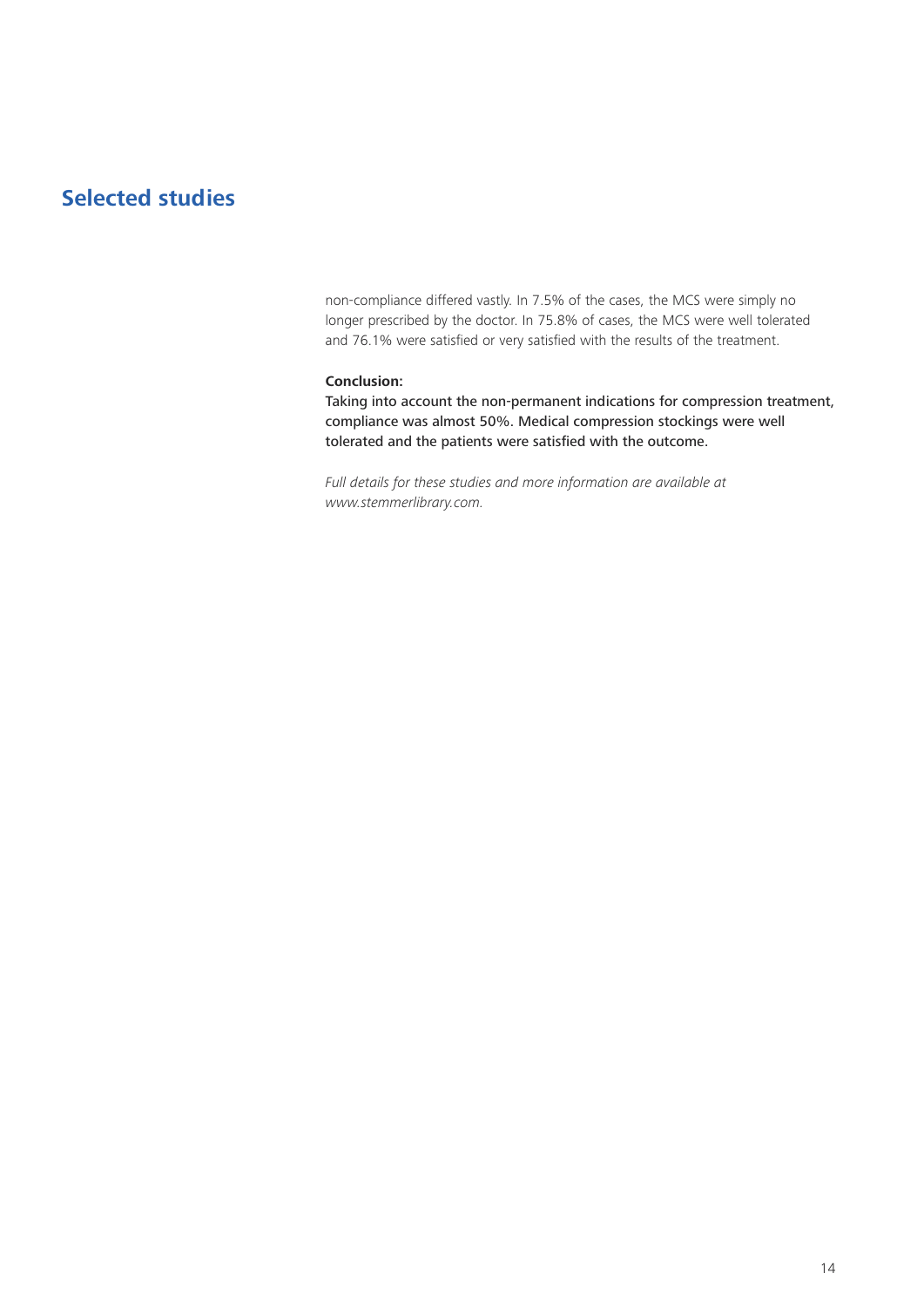non-compliance differed vastly. In 7.5% of the cases, the MCS were simply no longer prescribed by the doctor. In 75.8% of cases, the MCS were well tolerated and 76.1% were satisfied or very satisfied with the results of the treatment.

### **Conclusion:**

Taking into account the non-permanent indications for compression treatment, compliance was almost 50%. Medical compression stockings were well tolerated and the patients were satisfied with the outcome.

*Full details for these studies and more information are available at www.stemmerlibrary.com.*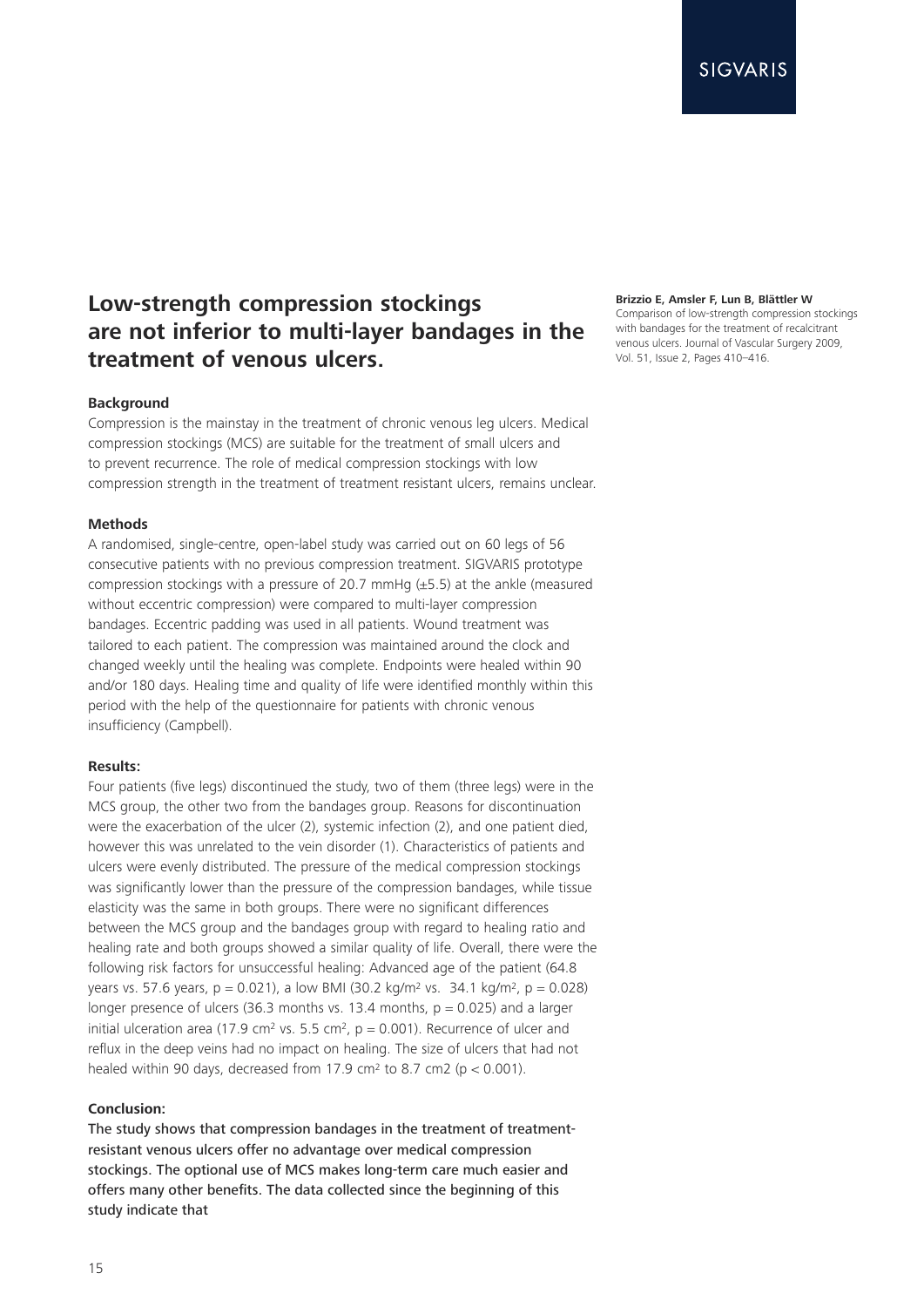# **Low-strength compression stockings are not inferior to multi-layer bandages in the treatment of venous ulcers.**

### **Background**

Compression is the mainstay in the treatment of chronic venous leg ulcers. Medical compression stockings (MCS) are suitable for the treatment of small ulcers and to prevent recurrence. The role of medical compression stockings with low compression strength in the treatment of treatment resistant ulcers, remains unclear.

### **Methods**

A randomised, single-centre, open-label study was carried out on 60 legs of 56 consecutive patients with no previous compression treatment. SIGVARIS prototype compression stockings with a pressure of 20.7 mmHg (±5.5) at the ankle (measured without eccentric compression) were compared to multi-layer compression bandages. Eccentric padding was used in all patients. Wound treatment was tailored to each patient. The compression was maintained around the clock and changed weekly until the healing was complete. Endpoints were healed within 90 and/or 180 days. Healing time and quality of life were identified monthly within this period with the help of the questionnaire for patients with chronic venous insufficiency (Campbell).

### **Results:**

Four patients (five legs) discontinued the study, two of them (three legs) were in the MCS group, the other two from the bandages group. Reasons for discontinuation were the exacerbation of the ulcer (2), systemic infection (2), and one patient died, however this was unrelated to the vein disorder (1). Characteristics of patients and ulcers were evenly distributed. The pressure of the medical compression stockings was significantly lower than the pressure of the compression bandages, while tissue elasticity was the same in both groups. There were no significant differences between the MCS group and the bandages group with regard to healing ratio and healing rate and both groups showed a similar quality of life. Overall, there were the following risk factors for unsuccessful healing: Advanced age of the patient (64.8 years vs. 57.6 years,  $p = 0.021$ , a low BMI (30.2 kg/m<sup>2</sup> vs. 34.1 kg/m<sup>2</sup>,  $p = 0.028$ ) longer presence of ulcers (36.3 months vs. 13.4 months,  $p = 0.025$ ) and a larger initial ulceration area (17.9 cm<sup>2</sup> vs. 5.5 cm<sup>2</sup>,  $p = 0.001$ ). Recurrence of ulcer and reflux in the deep veins had no impact on healing. The size of ulcers that had not healed within 90 days, decreased from 17.9 cm<sup>2</sup> to 8.7 cm2 ( $p < 0.001$ ).

### **Conclusion:**

The study shows that compression bandages in the treatment of treatmentresistant venous ulcers offer no advantage over medical compression stockings. The optional use of MCS makes long-term care much easier and offers many other benefits. The data collected since the beginning of this study indicate that

### **Brizzio E, Amsler F, Lun B, Blättler W**

Comparison of low-strength compression stockings with bandages for the treatment of recalcitrant venous ulcers. Journal of Vascular Surgery 2009, Vol. 51, Issue 2, Pages 410–416.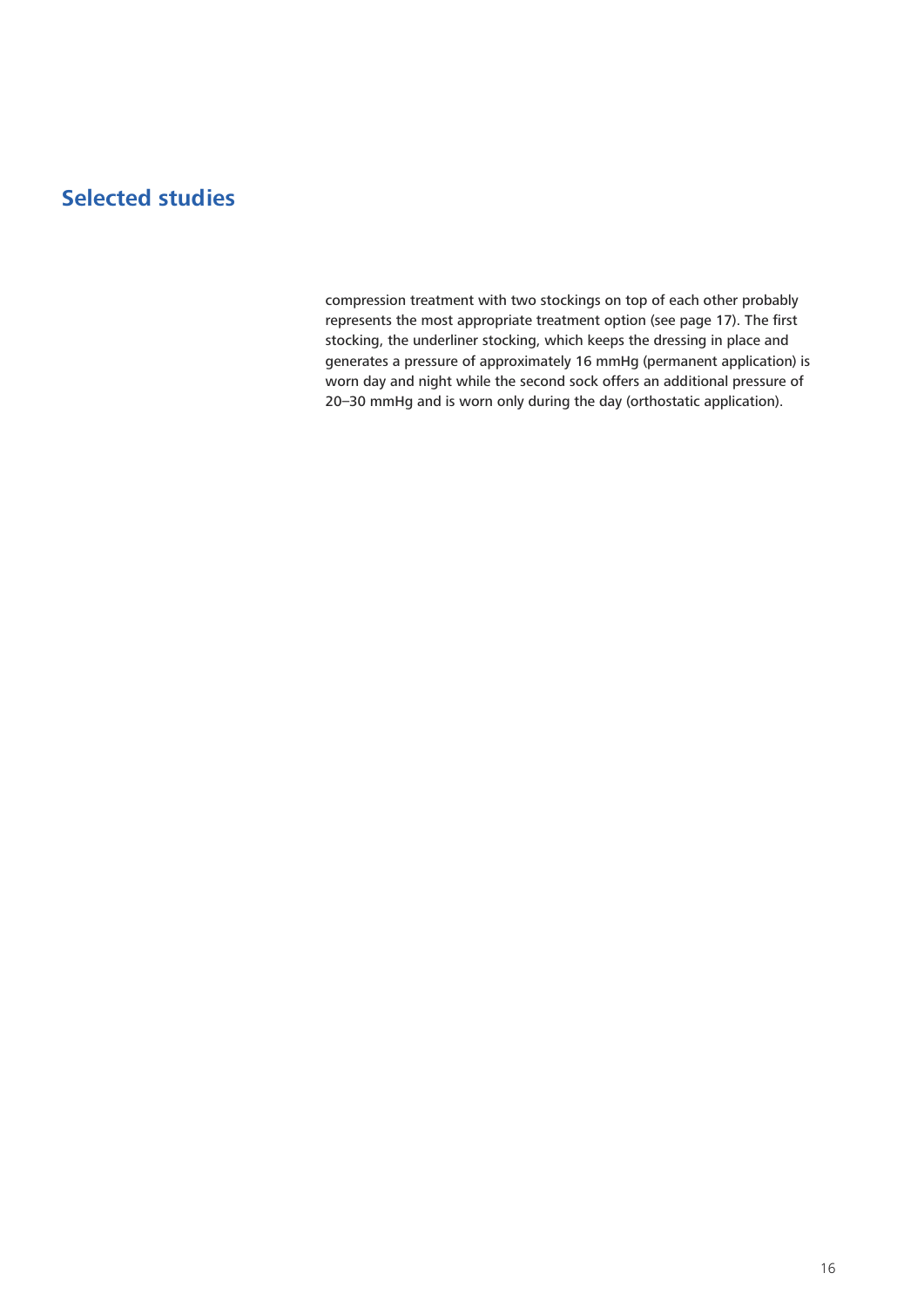compression treatment with two stockings on top of each other probably represents the most appropriate treatment option (see page 17). The first stocking, the underliner stocking, which keeps the dressing in place and generates a pressure of approximately 16 mmHg (permanent application) is worn day and night while the second sock offers an additional pressure of 20–30 mmHg and is worn only during the day (orthostatic application).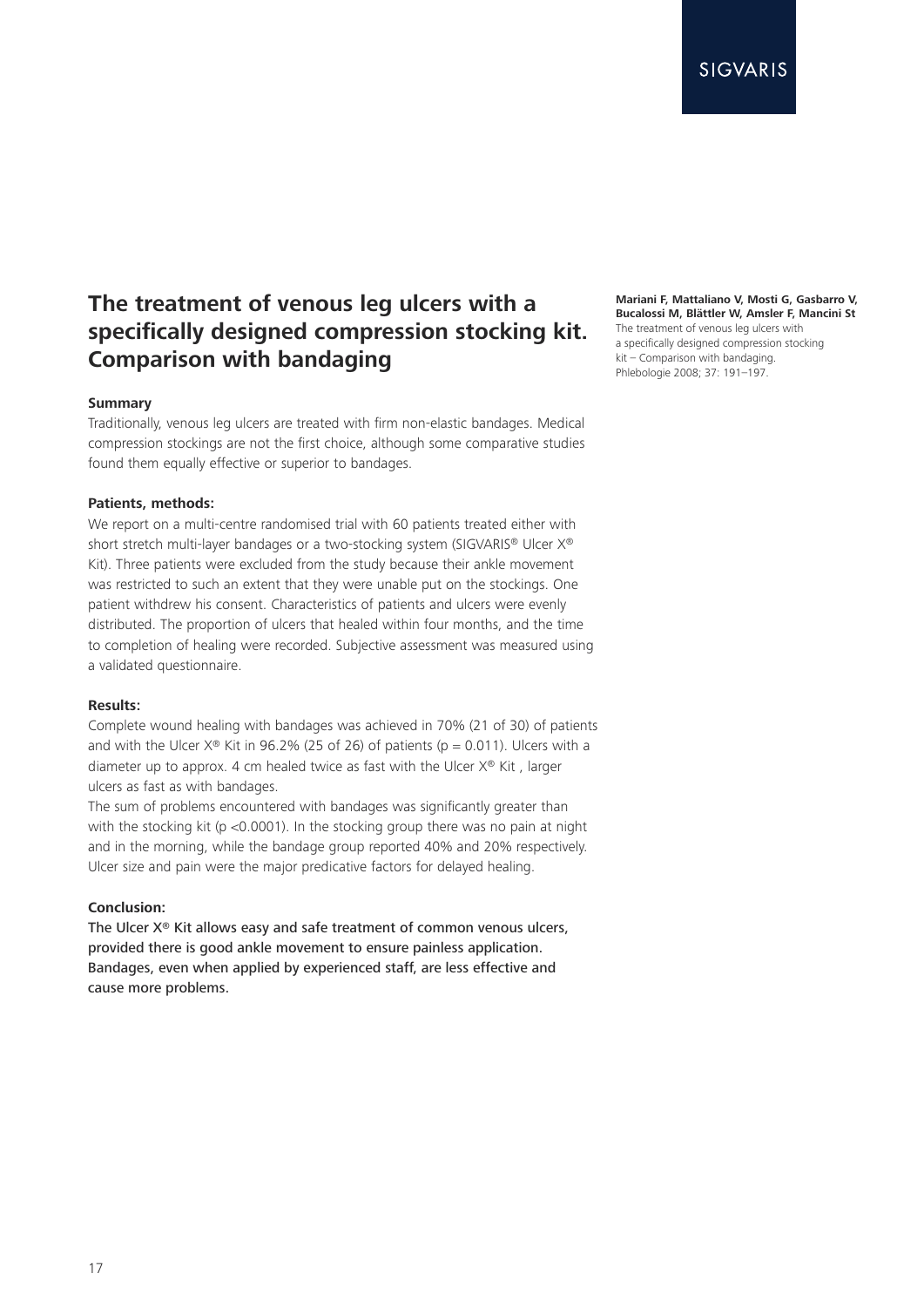# **The treatment of venous leg ulcers with a specifically designed compression stocking kit. Comparison with bandaging**

### **Summary**

Traditionally, venous leg ulcers are treated with firm non-elastic bandages. Medical compression stockings are not the first choice, although some comparative studies found them equally effective or superior to bandages.

### **Patients, methods:**

We report on a multi-centre randomised trial with 60 patients treated either with short stretch multi-layer bandages or a two-stocking system (SIGVARIS® Ulcer X®) Kit). Three patients were excluded from the study because their ankle movement was restricted to such an extent that they were unable put on the stockings. One patient withdrew his consent. Characteristics of patients and ulcers were evenly distributed. The proportion of ulcers that healed within four months, and the time to completion of healing were recorded. Subjective assessment was measured using a validated questionnaire.

### **Results:**

Complete wound healing with bandages was achieved in 70% (21 of 30) of patients and with the Ulcer  $X^{\circledast}$  Kit in 96.2% (25 of 26) of patients (p = 0.011). Ulcers with a diameter up to approx. 4 cm healed twice as fast with the Ulcer X® Kit , larger ulcers as fast as with bandages.

The sum of problems encountered with bandages was significantly greater than with the stocking kit (p <0.0001). In the stocking group there was no pain at night and in the morning, while the bandage group reported 40% and 20% respectively. Ulcer size and pain were the major predicative factors for delayed healing.

### **Conclusion:**

The Ulcer X® Kit allows easy and safe treatment of common venous ulcers, provided there is good ankle movement to ensure painless application. Bandages, even when applied by experienced staff, are less effective and cause more problems.

**Mariani F, Mattaliano V, Mosti G, Gasbarro V, Bucalossi M, Blättler W, Amsler F, Mancini St** The treatment of venous leg ulcers with a specifically designed compression stocking kit – Comparison with bandaging. Phlebologie 2008; 37: 191–197.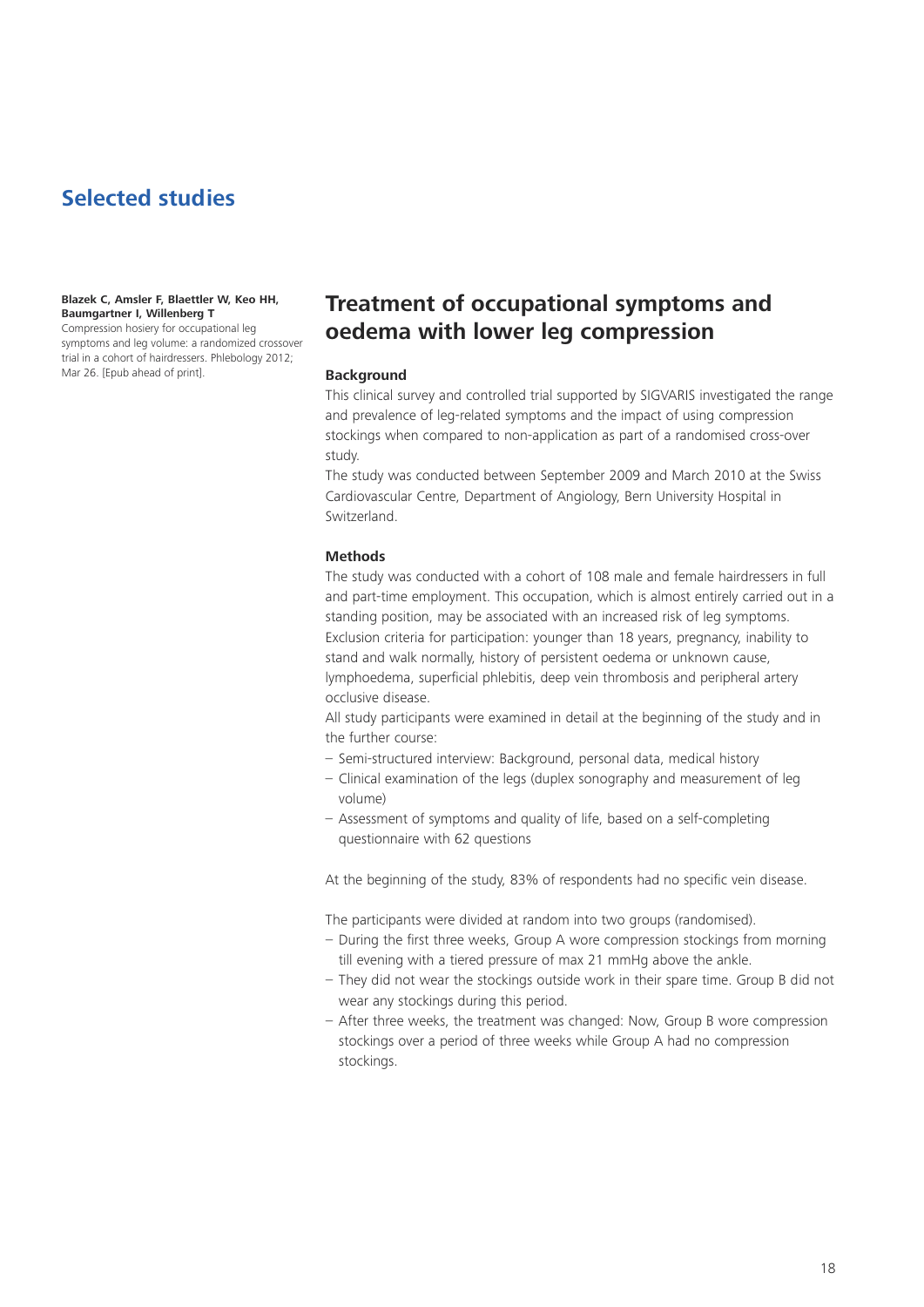### **Blazek C, Amsler F, Blaettler W, Keo HH, Baumgartner I, Willenberg T**

Compression hosiery for occupational leg symptoms and leg volume: a randomized crossover trial in a cohort of hairdressers. Phlebology 2012; Mar 26. [Epub ahead of print].

# **Treatment of occupational symptoms and oedema with lower leg compression**

### **Background**

This clinical survey and controlled trial supported by SIGVARIS investigated the range and prevalence of leg-related symptoms and the impact of using compression stockings when compared to non-application as part of a randomised cross-over study.

The study was conducted between September 2009 and March 2010 at the Swiss Cardiovascular Centre, Department of Angiology, Bern University Hospital in Switzerland.

### **Methods**

The study was conducted with a cohort of 108 male and female hairdressers in full and part-time employment. This occupation, which is almost entirely carried out in a standing position, may be associated with an increased risk of leg symptoms. Exclusion criteria for participation: younger than 18 years, pregnancy, inability to stand and walk normally, history of persistent oedema or unknown cause, lymphoedema, superficial phlebitis, deep vein thrombosis and peripheral artery occlusive disease.

All study participants were examined in detail at the beginning of the study and in the further course:

- Semi-structured interview: Background, personal data, medical history
- Clinical examination of the legs (duplex sonography and measurement of leg volume)
- Assessment of symptoms and quality of life, based on a self-completing questionnaire with 62 questions

At the beginning of the study, 83% of respondents had no specific vein disease.

The participants were divided at random into two groups (randomised).

- During the first three weeks, Group A wore compression stockings from morning till evening with a tiered pressure of max 21 mmHg above the ankle.
- They did not wear the stockings outside work in their spare time. Group B did not wear any stockings during this period.
- After three weeks, the treatment was changed: Now, Group B wore compression stockings over a period of three weeks while Group A had no compression stockings.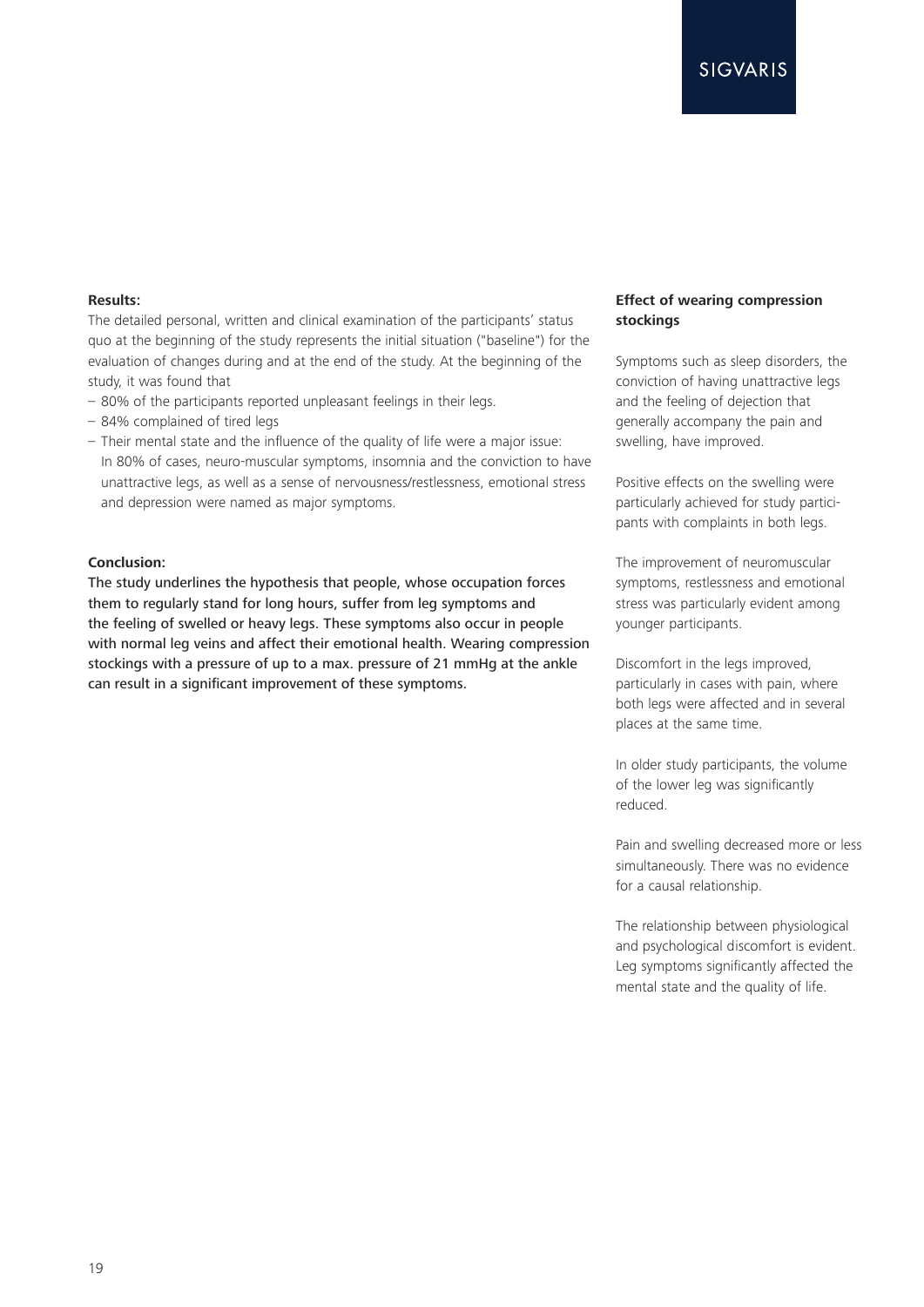### **Results:**

The detailed personal, written and clinical examination of the participants' status quo at the beginning of the study represents the initial situation ("baseline") for the evaluation of changes during and at the end of the study. At the beginning of the study, it was found that

- 80% of the participants reported unpleasant feelings in their legs.
- 84% complained of tired legs
- Their mental state and the influence of the quality of life were a major issue: In 80% of cases, neuro-muscular symptoms, insomnia and the conviction to have unattractive legs, as well as a sense of nervousness/restlessness, emotional stress and depression were named as major symptoms.

### **Conclusion:**

The study underlines the hypothesis that people, whose occupation forces them to regularly stand for long hours, suffer from leg symptoms and the feeling of swelled or heavy legs. These symptoms also occur in people with normal leg veins and affect their emotional health. Wearing compression stockings with a pressure of up to a max. pressure of 21 mmHg at the ankle can result in a significant improvement of these symptoms.

### **Effect of wearing compression stockings**

Symptoms such as sleep disorders, the conviction of having unattractive legs and the feeling of dejection that generally accompany the pain and swelling, have improved.

Positive effects on the swelling were particularly achieved for study participants with complaints in both legs.

The improvement of neuromuscular symptoms, restlessness and emotional stress was particularly evident among younger participants.

Discomfort in the legs improved, particularly in cases with pain, where both legs were affected and in several places at the same time.

In older study participants, the volume of the lower leg was significantly reduced.

Pain and swelling decreased more or less simultaneously. There was no evidence for a causal relationship.

The relationship between physiological and psychological discomfort is evident. Leg symptoms significantly affected the mental state and the quality of life.